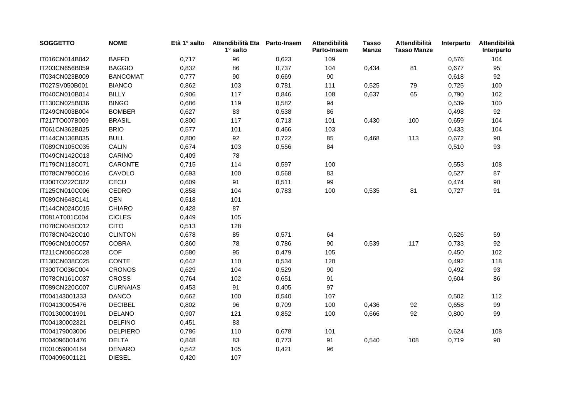| <b>SOGGETTO</b> | <b>NOME</b>     | Età 1° salto | Attendibilità Eta<br>$1^\circ$ salto | Parto-Insem | Attendibilità<br>Parto-Insem | <b>Tasso</b><br>Manze | Attendibilità<br><b>Tasso Manze</b> | Interparto | Attendibilità<br>Interparto |
|-----------------|-----------------|--------------|--------------------------------------|-------------|------------------------------|-----------------------|-------------------------------------|------------|-----------------------------|
| IT016CN014B042  | <b>BAFFO</b>    | 0,717        | 96                                   | 0,623       | 109                          |                       |                                     | 0,576      | 104                         |
| IT203CN656B059  | <b>BAGGIO</b>   | 0,832        | 86                                   | 0,737       | 104                          | 0,434                 | 81                                  | 0,677      | 95                          |
| IT034CN023B009  | <b>BANCOMAT</b> | 0,777        | 90                                   | 0,669       | 90                           |                       |                                     | 0,618      | 92                          |
| IT027SV050B001  | <b>BIANCO</b>   | 0,862        | 103                                  | 0,781       | 111                          | 0,525                 | 79                                  | 0,725      | 100                         |
| IT040CN010B014  | <b>BILLY</b>    | 0,906        | 117                                  | 0,846       | 108                          | 0,637                 | 65                                  | 0,790      | 102                         |
| IT130CN025B036  | <b>BINGO</b>    | 0,686        | 119                                  | 0,582       | 94                           |                       |                                     | 0,539      | 100                         |
| IT249CN003B004  | <b>BOMBER</b>   | 0,627        | 83                                   | 0,538       | 86                           |                       |                                     | 0,498      | 92                          |
| IT217TO007B009  | <b>BRASIL</b>   | 0,800        | 117                                  | 0,713       | 101                          | 0,430                 | 100                                 | 0,659      | 104                         |
| IT061CN362B025  | <b>BRIO</b>     | 0,577        | 101                                  | 0,466       | 103                          |                       |                                     | 0,433      | 104                         |
| IT144CN136B035  | <b>BULL</b>     | 0,800        | 92                                   | 0,722       | 85                           | 0,468                 | 113                                 | 0,672      | 90                          |
| IT089CN105C035  | <b>CALIN</b>    | 0,674        | 103                                  | 0,556       | 84                           |                       |                                     | 0,510      | 93                          |
| IT049CN142C013  | CARINO          | 0,409        | 78                                   |             |                              |                       |                                     |            |                             |
| IT179CN118C071  | CARONTE         | 0,715        | 114                                  | 0,597       | 100                          |                       |                                     | 0,553      | 108                         |
| IT078CN790C016  | CAVOLO          | 0,693        | 100                                  | 0,568       | 83                           |                       |                                     | 0,527      | 87                          |
| IT300TO222C022  | CECU            | 0,609        | 91                                   | 0,511       | 99                           |                       |                                     | 0,474      | 90                          |
| IT125CN010C006  | <b>CEDRO</b>    | 0,858        | 104                                  | 0,783       | 100                          | 0,535                 | 81                                  | 0,727      | 91                          |
| IT089CN643C141  | <b>CEN</b>      | 0,518        | 101                                  |             |                              |                       |                                     |            |                             |
| IT144CN024C015  | <b>CHIARO</b>   | 0,428        | 87                                   |             |                              |                       |                                     |            |                             |
| IT081AT001C004  | <b>CICLES</b>   | 0,449        | 105                                  |             |                              |                       |                                     |            |                             |
| IT078CN045C012  | <b>CITO</b>     | 0,513        | 128                                  |             |                              |                       |                                     |            |                             |
| IT078CN042C010  | <b>CLINTON</b>  | 0,678        | 85                                   | 0,571       | 64                           |                       |                                     | 0,526      | 59                          |
| IT096CN010C057  | <b>COBRA</b>    | 0,860        | 78                                   | 0,786       | 90                           | 0,539                 | 117                                 | 0,733      | 92                          |
| IT211CN006C028  | COF             | 0,580        | 95                                   | 0,479       | 105                          |                       |                                     | 0,450      | 102                         |
| IT130CN038C025  | CONTE           | 0,642        | 110                                  | 0,534       | 120                          |                       |                                     | 0,492      | 118                         |
| IT300TO036C004  | <b>CRONOS</b>   | 0,629        | 104                                  | 0,529       | 90                           |                       |                                     | 0,492      | 93                          |
| IT078CN161C037  | <b>CROSS</b>    | 0,764        | 102                                  | 0,651       | 91                           |                       |                                     | 0,604      | 86                          |
| IT089CN220C007  | <b>CURNAIAS</b> | 0,453        | 91                                   | 0,405       | 97                           |                       |                                     |            |                             |
| IT004143001333  | <b>DANCO</b>    | 0,662        | 100                                  | 0,540       | 107                          |                       |                                     | 0,502      | 112                         |
| IT004130005476  | <b>DECIBEL</b>  | 0,802        | 96                                   | 0,709       | 100                          | 0,436                 | 92                                  | 0,658      | 99                          |
| IT001300001991  | <b>DELANO</b>   | 0,907        | 121                                  | 0,852       | 100                          | 0,666                 | 92                                  | 0,800      | 99                          |
| IT004130002321  | <b>DELFINO</b>  | 0,451        | 83                                   |             |                              |                       |                                     |            |                             |
| IT004179003006  | <b>DELPIERO</b> | 0,786        | 110                                  | 0,678       | 101                          |                       |                                     | 0,624      | 108                         |
| IT004096001476  | <b>DELTA</b>    | 0,848        | 83                                   | 0,773       | 91                           | 0,540                 | 108                                 | 0,719      | 90                          |
| IT001059004164  | <b>DENARO</b>   | 0,542        | 105                                  | 0,421       | 96                           |                       |                                     |            |                             |
| IT004096001121  | <b>DIESEL</b>   | 0,420        | 107                                  |             |                              |                       |                                     |            |                             |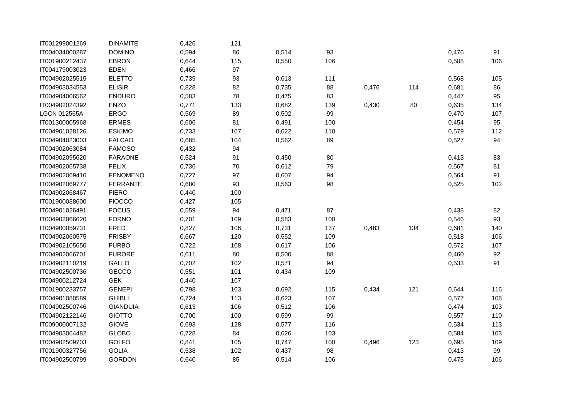| IT001299001269      | <b>DINAMITE</b> | 0,426 | 121    |       |     |       |     |       |     |
|---------------------|-----------------|-------|--------|-------|-----|-------|-----|-------|-----|
| IT004034000287      | <b>DOMINO</b>   | 0,594 | 86     | 0,514 | 93  |       |     | 0,476 | 91  |
| IT001900212437      | <b>EBRON</b>    | 0,644 | 115    | 0,550 | 106 |       |     | 0,508 | 106 |
| IT004179003023      | <b>EDEN</b>     | 0,466 | 97     |       |     |       |     |       |     |
| IT004902025515      | <b>ELETTO</b>   | 0,739 | 93     | 0,613 | 111 |       |     | 0,568 | 105 |
| IT004903034553      | <b>ELISIR</b>   | 0,828 | 82     | 0,735 | 88  | 0,476 | 114 | 0,681 | 86  |
| IT004904006562      | <b>ENDURO</b>   | 0,583 | 78     | 0,475 | 83  |       |     | 0,447 | 95  |
| IT004902024392      | ENZO            | 0,771 | 133    | 0,682 | 139 | 0,430 | 80  | 0,635 | 134 |
| <b>LGCN 012565A</b> | <b>ERGO</b>     | 0,569 | 89     | 0,502 | 99  |       |     | 0,470 | 107 |
| IT001300005968      | <b>ERMES</b>    | 0,606 | 81     | 0,491 | 100 |       |     | 0,454 | 95  |
| IT004901028126      | <b>ESKIMO</b>   | 0,733 | 107    | 0,622 | 110 |       |     | 0,579 | 112 |
| IT004904023003      | <b>FALCAO</b>   | 0,685 | 104    | 0,562 | 89  |       |     | 0,527 | 94  |
| IT004902063084      | <b>FAMOSO</b>   | 0,432 | 94     |       |     |       |     |       |     |
| IT004902095620      | <b>FARAONE</b>  | 0,524 | 91     | 0,450 | 80  |       |     | 0,413 | 83  |
| IT004902065738      | <b>FELIX</b>    | 0,736 | $70\,$ | 0,612 | 79  |       |     | 0,567 | 81  |
| IT004902069416      | <b>FENOMENO</b> | 0,727 | 97     | 0,607 | 94  |       |     | 0,564 | 91  |
| IT004902069777      | <b>FERRANTE</b> | 0,680 | 93     | 0,563 | 98  |       |     | 0,525 | 102 |
| IT004902068467      | <b>FIERO</b>    | 0,440 | 100    |       |     |       |     |       |     |
| IT001900038600      | <b>FIOCCO</b>   | 0,427 | 105    |       |     |       |     |       |     |
| IT004901026491      | <b>FOCUS</b>    | 0,559 | 94     | 0,471 | 87  |       |     | 0,438 | 82  |
| IT004902066620      | <b>FORNO</b>    | 0,701 | 109    | 0,583 | 100 |       |     | 0,546 | 93  |
| IT004900059731      | <b>FRED</b>     | 0,827 | 106    | 0,731 | 137 | 0,483 | 134 | 0,681 | 140 |
| IT004902060575      | <b>FRISBY</b>   | 0,667 | 120    | 0,552 | 109 |       |     | 0,518 | 106 |
| IT004902105650      | <b>FURBO</b>    | 0,722 | 108    | 0,617 | 106 |       |     | 0,572 | 107 |
| IT004902066701      | <b>FURORE</b>   | 0,611 | 80     | 0,500 | 88  |       |     | 0,460 | 92  |
| IT004902110219      | GALLO           | 0,702 | 102    | 0,571 | 94  |       |     | 0,533 | 91  |
| IT004902500736      | <b>GECCO</b>    | 0,551 | 101    | 0,434 | 109 |       |     |       |     |
| IT004900212724      | <b>GEK</b>      | 0,440 | 107    |       |     |       |     |       |     |
| IT001900233757      | <b>GENEPI</b>   | 0,798 | 103    | 0,692 | 115 | 0,434 | 121 | 0,644 | 116 |
| IT004901080589      | <b>GHIBLI</b>   | 0,724 | 113    | 0,623 | 107 |       |     | 0,577 | 108 |
| IT004902500746      | <b>GIANDUIA</b> | 0,613 | 106    | 0,512 | 106 |       |     | 0,474 | 103 |
| IT004902122146      | <b>GIOTTO</b>   | 0,700 | 100    | 0,599 | 99  |       |     | 0,557 | 110 |
| IT009000007132      | <b>GIOVE</b>    | 0,693 | 128    | 0,577 | 116 |       |     | 0,534 | 113 |
| IT004903064482      | <b>GLOBO</b>    | 0,728 | 84     | 0,626 | 103 |       |     | 0,584 | 103 |
| IT004902509703      | GOLFO           | 0,841 | 105    | 0,747 | 100 | 0,496 | 123 | 0,695 | 109 |
| IT001900327756      | <b>GOLIA</b>    | 0,538 | 102    | 0,437 | 98  |       |     | 0,413 | 99  |
| IT004902500799      | <b>GORDON</b>   | 0,640 | 85     | 0,514 | 106 |       |     | 0,475 | 106 |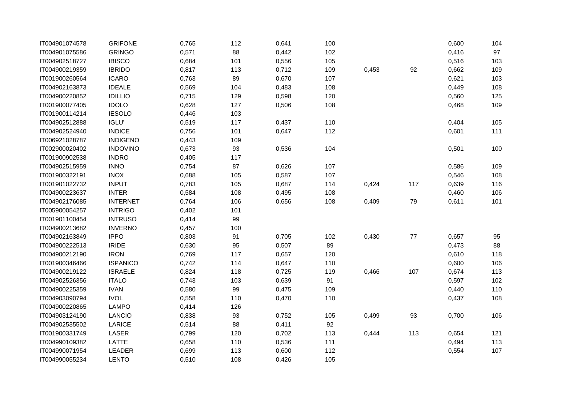| IT004901074578 | <b>GRIFONE</b>  | 0,765 | 112 | 0,641 | 100 |       |        | 0,600 | 104 |
|----------------|-----------------|-------|-----|-------|-----|-------|--------|-------|-----|
| IT004901075586 | <b>GRINGO</b>   | 0,571 | 88  | 0,442 | 102 |       |        | 0,416 | 97  |
| IT004902518727 | <b>IBISCO</b>   | 0,684 | 101 | 0,556 | 105 |       |        | 0,516 | 103 |
| IT004900219359 | <b>IBRIDO</b>   | 0,817 | 113 | 0,712 | 109 | 0,453 | 92     | 0,662 | 109 |
| IT001900260564 | <b>ICARO</b>    | 0,763 | 89  | 0,670 | 107 |       |        | 0,621 | 103 |
| IT004902163873 | <b>IDEALE</b>   | 0,569 | 104 | 0,483 | 108 |       |        | 0,449 | 108 |
| IT004900220852 | <b>IDILLIO</b>  | 0,715 | 129 | 0,598 | 120 |       |        | 0,560 | 125 |
| IT001900077405 | <b>IDOLO</b>    | 0,628 | 127 | 0,506 | 108 |       |        | 0,468 | 109 |
| IT001900114214 | <b>IESOLO</b>   | 0,446 | 103 |       |     |       |        |       |     |
| IT004902512888 | <b>IGLU'</b>    | 0,519 | 117 | 0,437 | 110 |       |        | 0,404 | 105 |
| IT004902524940 | <b>INDICE</b>   | 0,756 | 101 | 0,647 | 112 |       |        | 0,601 | 111 |
| IT006921028787 | <b>INDIGENO</b> | 0,443 | 109 |       |     |       |        |       |     |
| IT002900020402 | <b>INDOVINO</b> | 0,673 | 93  | 0,536 | 104 |       |        | 0,501 | 100 |
| IT001900902538 | <b>INDRO</b>    | 0,405 | 117 |       |     |       |        |       |     |
| IT004902515959 | <b>INNO</b>     | 0,754 | 87  | 0,626 | 107 |       |        | 0,586 | 109 |
| IT001900322191 | <b>INOX</b>     | 0,688 | 105 | 0,587 | 107 |       |        | 0,546 | 108 |
| IT001901022732 | <b>INPUT</b>    | 0,783 | 105 | 0,687 | 114 | 0,424 | 117    | 0,639 | 116 |
| IT004900223637 | <b>INTER</b>    | 0,584 | 108 | 0,495 | 108 |       |        | 0,460 | 106 |
| IT004902176085 | <b>INTERNET</b> | 0,764 | 106 | 0,656 | 108 | 0,409 | 79     | 0,611 | 101 |
| IT005900054257 | <b>INTRIGO</b>  | 0,402 | 101 |       |     |       |        |       |     |
| IT001901100454 | <b>INTRUSO</b>  | 0,414 | 99  |       |     |       |        |       |     |
| IT004900213682 | <b>INVERNO</b>  | 0,457 | 100 |       |     |       |        |       |     |
| IT004902163849 | <b>IPPO</b>     | 0,803 | 91  | 0,705 | 102 | 0,430 | $77\,$ | 0,657 | 95  |
| IT004900222513 | <b>IRIDE</b>    | 0,630 | 95  | 0,507 | 89  |       |        | 0,473 | 88  |
| IT004900212190 | <b>IRON</b>     | 0,769 | 117 | 0,657 | 120 |       |        | 0,610 | 118 |
| IT001900346466 | <b>ISPANICO</b> | 0,742 | 114 | 0,647 | 110 |       |        | 0,600 | 106 |
| IT004900219122 | <b>ISRAELE</b>  | 0,824 | 118 | 0,725 | 119 | 0,466 | 107    | 0,674 | 113 |
| IT004902526356 | <b>ITALO</b>    | 0,743 | 103 | 0,639 | 91  |       |        | 0,597 | 102 |
| IT004900225359 | <b>IVAN</b>     | 0,580 | 99  | 0,475 | 109 |       |        | 0,440 | 110 |
| IT004903090794 | <b>IVOL</b>     | 0,558 | 110 | 0,470 | 110 |       |        | 0,437 | 108 |
| IT004900220865 | LAMPO           | 0,414 | 126 |       |     |       |        |       |     |
| IT004903124190 | LANCIO          | 0,838 | 93  | 0,752 | 105 | 0,499 | 93     | 0,700 | 106 |
| IT004902535502 | LARICE          | 0,514 | 88  | 0,411 | 92  |       |        |       |     |
| IT001900331749 | LASER           | 0,799 | 120 | 0,702 | 113 | 0,444 | 113    | 0,654 | 121 |
| IT004990109382 | LATTE           | 0,658 | 110 | 0,536 | 111 |       |        | 0,494 | 113 |
| IT004990071954 | LEADER          | 0,699 | 113 | 0,600 | 112 |       |        | 0,554 | 107 |
| IT004990055234 | <b>LENTO</b>    | 0,510 | 108 | 0,426 | 105 |       |        |       |     |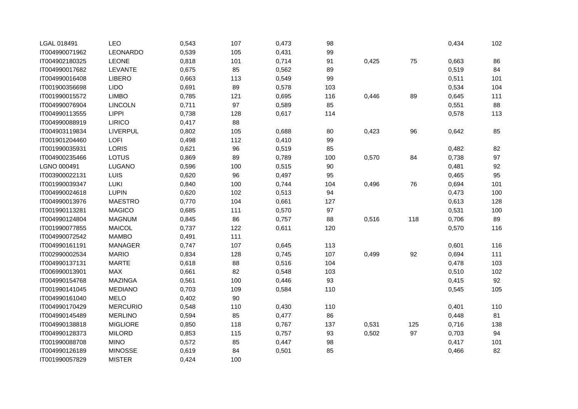| LGAL 018491    | LEO             | 0,543 | 107 | 0,473 | 98     |       |     | 0,434 | 102 |
|----------------|-----------------|-------|-----|-------|--------|-------|-----|-------|-----|
| IT004990071962 | LEONARDO        | 0,539 | 105 | 0,431 | 99     |       |     |       |     |
| IT004902180325 | LEONE           | 0,818 | 101 | 0,714 | $91\,$ | 0,425 | 75  | 0,663 | 86  |
| IT004990017682 | LEVANTE         | 0,675 | 85  | 0,562 | 89     |       |     | 0,519 | 84  |
| IT004990016408 | <b>LIBERO</b>   | 0,663 | 113 | 0,549 | 99     |       |     | 0,511 | 101 |
| IT001900356698 | <b>LIDO</b>     | 0,691 | 89  | 0,578 | 103    |       |     | 0,534 | 104 |
| IT001990015572 | <b>LIMBO</b>    | 0,785 | 121 | 0,695 | 116    | 0,446 | 89  | 0,645 | 111 |
| IT004990076904 | <b>LINCOLN</b>  | 0,711 | 97  | 0,589 | 85     |       |     | 0,551 | 88  |
| IT004990113555 | <b>LIPPI</b>    | 0,738 | 128 | 0,617 | 114    |       |     | 0,578 | 113 |
| IT004990088919 | LIRICO          | 0,417 | 88  |       |        |       |     |       |     |
| IT004903119834 | LIVERPUL        | 0,802 | 105 | 0,688 | 80     | 0,423 | 96  | 0,642 | 85  |
| IT001901204460 | LOFI            | 0,498 | 112 | 0,410 | 99     |       |     |       |     |
| IT001990035931 | <b>LORIS</b>    | 0,621 | 96  | 0,519 | 85     |       |     | 0,482 | 82  |
| IT004900235466 | LOTUS           | 0,869 | 89  | 0,789 | 100    | 0,570 | 84  | 0,738 | 97  |
| LGNO 000491    | LUGANO          | 0,596 | 100 | 0,515 | 90     |       |     | 0,481 | 92  |
| IT003900022131 | LUIS            | 0,620 | 96  | 0,497 | 95     |       |     | 0,465 | 95  |
| IT001990039347 | LUKI            | 0,840 | 100 | 0,744 | 104    | 0,496 | 76  | 0,694 | 101 |
| IT004990024618 | <b>LUPIN</b>    | 0,620 | 102 | 0,513 | 94     |       |     | 0,473 | 100 |
| IT004990013976 | <b>MAESTRO</b>  | 0,770 | 104 | 0,661 | 127    |       |     | 0,613 | 128 |
| IT001990113281 | <b>MAGICO</b>   | 0,685 | 111 | 0,570 | 97     |       |     | 0,531 | 100 |
| IT004990124804 | <b>MAGNUM</b>   | 0,845 | 86  | 0,757 | 88     | 0,516 | 118 | 0,706 | 89  |
| IT001990077855 | <b>MAICOL</b>   | 0,737 | 122 | 0,611 | 120    |       |     | 0,570 | 116 |
| IT004990072542 | <b>MAMBO</b>    | 0,491 | 111 |       |        |       |     |       |     |
| IT004990161191 | <b>MANAGER</b>  | 0,747 | 107 | 0,645 | 113    |       |     | 0,601 | 116 |
| IT002990002534 | <b>MARIO</b>    | 0,834 | 128 | 0,745 | 107    | 0,499 | 92  | 0,694 | 111 |
| IT004990137131 | <b>MARTE</b>    | 0,618 | 88  | 0,516 | 104    |       |     | 0,478 | 103 |
| IT006990013901 | MAX             | 0,661 | 82  | 0,548 | 103    |       |     | 0,510 | 102 |
| IT004990154768 | <b>MAZINGA</b>  | 0,561 | 100 | 0,446 | 93     |       |     | 0,415 | 92  |
| IT001990141045 | <b>MEDIANO</b>  | 0,703 | 109 | 0,584 | 110    |       |     | 0,545 | 105 |
| IT004990161040 | <b>MELO</b>     | 0,402 | 90  |       |        |       |     |       |     |
| IT004990170429 | <b>MERCURIO</b> | 0,548 | 110 | 0,430 | 110    |       |     | 0,401 | 110 |
| IT004990145489 | <b>MERLINO</b>  | 0,594 | 85  | 0,477 | 86     |       |     | 0,448 | 81  |
| IT004990138818 | <b>MIGLIORE</b> | 0,850 | 118 | 0,767 | 137    | 0,531 | 125 | 0,716 | 138 |
| IT004990128373 | <b>MILORD</b>   | 0,853 | 115 | 0,757 | 93     | 0,502 | 97  | 0,703 | 94  |
| IT001990088708 | <b>MINO</b>     | 0,572 | 85  | 0,447 | 98     |       |     | 0,417 | 101 |
| IT004990126189 | <b>MINOSSE</b>  | 0,619 | 84  | 0,501 | 85     |       |     | 0,466 | 82  |
| IT001990057829 | <b>MISTER</b>   | 0,424 | 100 |       |        |       |     |       |     |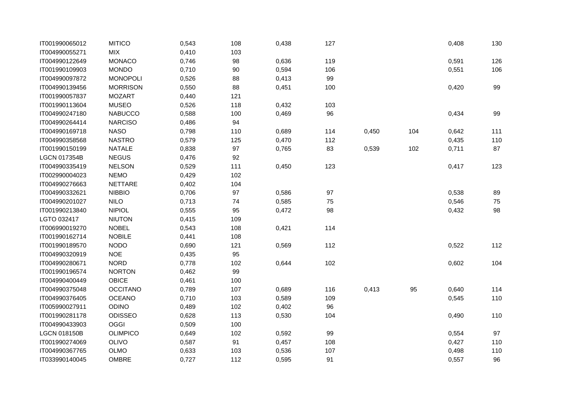| IT001990065012      | <b>MITICO</b>   | 0,543 | 108    | 0,438 | 127 |       |     | 0,408 | 130 |
|---------------------|-----------------|-------|--------|-------|-----|-------|-----|-------|-----|
| IT004990055271      | <b>MIX</b>      | 0,410 | 103    |       |     |       |     |       |     |
| IT004990122649      | <b>MONACO</b>   | 0,746 | 98     | 0,636 | 119 |       |     | 0,591 | 126 |
| IT001990109903      | <b>MONDO</b>    | 0,710 | 90     | 0,594 | 106 |       |     | 0,551 | 106 |
| IT004990097872      | <b>MONOPOLI</b> | 0,526 | 88     | 0,413 | 99  |       |     |       |     |
| IT004990139456      | <b>MORRISON</b> | 0,550 | 88     | 0,451 | 100 |       |     | 0,420 | 99  |
| IT001990057837      | <b>MOZART</b>   | 0,440 | 121    |       |     |       |     |       |     |
| IT001990113604      | <b>MUSEO</b>    | 0,526 | 118    | 0,432 | 103 |       |     |       |     |
| IT004990247180      | <b>NABUCCO</b>  | 0,588 | 100    | 0,469 | 96  |       |     | 0,434 | 99  |
| IT004990264414      | <b>NARCISO</b>  | 0,486 | 94     |       |     |       |     |       |     |
| IT004990169718      | <b>NASO</b>     | 0,798 | 110    | 0,689 | 114 | 0,450 | 104 | 0,642 | 111 |
| IT004990358568      | <b>NASTRO</b>   | 0,579 | 125    | 0,470 | 112 |       |     | 0,435 | 110 |
| IT001990150199      | <b>NATALE</b>   | 0,838 | 97     | 0,765 | 83  | 0,539 | 102 | 0,711 | 87  |
| LGCN 017354B        | <b>NEGUS</b>    | 0,476 | 92     |       |     |       |     |       |     |
| IT004990335419      | <b>NELSON</b>   | 0,529 | 111    | 0,450 | 123 |       |     | 0,417 | 123 |
| IT002990004023      | <b>NEMO</b>     | 0,429 | 102    |       |     |       |     |       |     |
| IT004990276663      | <b>NETTARE</b>  | 0,402 | 104    |       |     |       |     |       |     |
| IT004990332621      | <b>NIBBIO</b>   | 0,706 | 97     | 0,586 | 97  |       |     | 0,538 | 89  |
| IT004990201027      | <b>NILO</b>     | 0,713 | 74     | 0,585 | 75  |       |     | 0,546 | 75  |
| IT001990213840      | <b>NIPIOL</b>   | 0,555 | 95     | 0,472 | 98  |       |     | 0,432 | 98  |
| LGTO 032417         | <b>NIUTON</b>   | 0,415 | 109    |       |     |       |     |       |     |
| IT006990019270      | <b>NOBEL</b>    | 0,543 | 108    | 0,421 | 114 |       |     |       |     |
| IT001990162714      | <b>NOBILE</b>   | 0,441 | 108    |       |     |       |     |       |     |
| IT001990189570      | <b>NODO</b>     | 0,690 | 121    | 0,569 | 112 |       |     | 0,522 | 112 |
| IT004990320919      | <b>NOE</b>      | 0,435 | 95     |       |     |       |     |       |     |
| IT004990280671      | <b>NORD</b>     | 0,778 | 102    | 0,644 | 102 |       |     | 0,602 | 104 |
| IT001990196574      | <b>NORTON</b>   | 0,462 | 99     |       |     |       |     |       |     |
| IT004990400449      | <b>OBICE</b>    | 0,461 | 100    |       |     |       |     |       |     |
| IT004990375048      | <b>OCCITANO</b> | 0,789 | 107    | 0,689 | 116 | 0,413 | 95  | 0,640 | 114 |
| IT004990376405      | <b>OCEANO</b>   | 0,710 | 103    | 0,589 | 109 |       |     | 0,545 | 110 |
| IT005990027911      | <b>ODINO</b>    | 0,489 | 102    | 0,402 | 96  |       |     |       |     |
| IT001990281178      | <b>ODISSEO</b>  | 0,628 | 113    | 0,530 | 104 |       |     | 0,490 | 110 |
| IT004990433903      | <b>OGGI</b>     | 0,509 | 100    |       |     |       |     |       |     |
| <b>LGCN 018150B</b> | <b>OLIMPICO</b> | 0,649 | 102    | 0,592 | 99  |       |     | 0,554 | 97  |
| IT001990274069      | <b>OLIVO</b>    | 0,587 | $91\,$ | 0,457 | 108 |       |     | 0,427 | 110 |
| IT004990367765      | OLMO            | 0,633 | 103    | 0,536 | 107 |       |     | 0,498 | 110 |
| IT033990140045      | <b>OMBRE</b>    | 0,727 | 112    | 0,595 | 91  |       |     | 0,557 | 96  |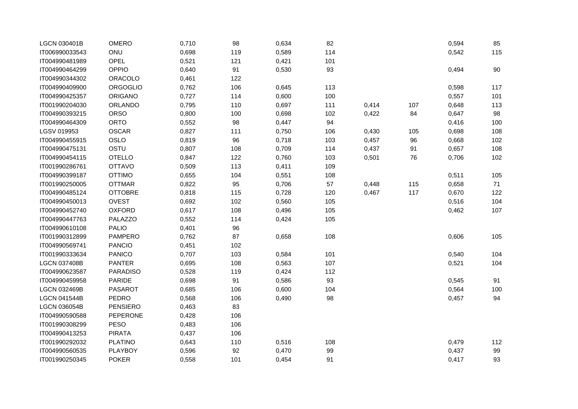| <b>LGCN 030401B</b> | <b>OMERO</b>    | 0,710 | 98     | 0,634 | 82  |       |     | 0,594 | 85  |
|---------------------|-----------------|-------|--------|-------|-----|-------|-----|-------|-----|
| IT006990033543      | ONU             | 0,698 | 119    | 0,589 | 114 |       |     | 0,542 | 115 |
| IT004990481989      | <b>OPEL</b>     | 0,521 | 121    | 0,421 | 101 |       |     |       |     |
| IT004990464299      | OPPIO           | 0,640 | 91     | 0,530 | 93  |       |     | 0,494 | 90  |
| IT004990344302      | ORACOLO         | 0,461 | 122    |       |     |       |     |       |     |
| IT004990409900      | <b>ORGOGLIO</b> | 0,762 | 106    | 0,645 | 113 |       |     | 0,598 | 117 |
| IT004990425357      | <b>ORIGANO</b>  | 0,727 | 114    | 0,600 | 100 |       |     | 0,557 | 101 |
| IT001990204030      | ORLANDO         | 0,795 | 110    | 0,697 | 111 | 0,414 | 107 | 0,648 | 113 |
| IT004990393215      | <b>ORSO</b>     | 0,800 | 100    | 0,698 | 102 | 0,422 | 84  | 0,647 | 98  |
| IT004990464309      | ORTO            | 0,552 | 98     | 0,447 | 94  |       |     | 0,416 | 100 |
| LGSV 019953         | <b>OSCAR</b>    | 0,827 | 111    | 0,750 | 106 | 0,430 | 105 | 0,698 | 108 |
| IT004990455915      | OSLO            | 0,819 | 96     | 0,718 | 103 | 0,457 | 96  | 0,668 | 102 |
| IT004990475131      | OSTU            | 0,807 | 108    | 0,709 | 114 | 0,437 | 91  | 0,657 | 108 |
| IT004990454115      | <b>OTELLO</b>   | 0,847 | 122    | 0,760 | 103 | 0,501 | 76  | 0,706 | 102 |
| IT001990286761      | <b>OTTAVO</b>   | 0,509 | 113    | 0,411 | 109 |       |     |       |     |
| IT004990399187      | <b>OTTIMO</b>   | 0,655 | 104    | 0,551 | 108 |       |     | 0,511 | 105 |
| IT001990250005      | <b>OTTMAR</b>   | 0,822 | 95     | 0,706 | 57  | 0,448 | 115 | 0,658 | 71  |
| IT004990485124      | <b>OTTOBRE</b>  | 0,818 | 115    | 0,728 | 120 | 0,467 | 117 | 0,670 | 122 |
| IT004990450013      | <b>OVEST</b>    | 0,692 | 102    | 0,560 | 105 |       |     | 0,516 | 104 |
| IT004990452740      | <b>OXFORD</b>   | 0,617 | 108    | 0,496 | 105 |       |     | 0,462 | 107 |
| IT004990447763      | PALAZZO         | 0,552 | 114    | 0,424 | 105 |       |     |       |     |
| IT004990610108      | <b>PALIO</b>    | 0,401 | 96     |       |     |       |     |       |     |
| IT001990312899      | <b>PAMPERO</b>  | 0,762 | 87     | 0,658 | 108 |       |     | 0,606 | 105 |
| IT004990569741      | <b>PANCIO</b>   | 0,451 | 102    |       |     |       |     |       |     |
| IT001990333634      | <b>PANICO</b>   | 0,707 | 103    | 0,584 | 101 |       |     | 0,540 | 104 |
| <b>LGCN 037408B</b> | <b>PANTER</b>   | 0,695 | 108    | 0,563 | 107 |       |     | 0,521 | 104 |
| IT004990623587      | <b>PARADISO</b> | 0,528 | 119    | 0,424 | 112 |       |     |       |     |
| IT004990459958      | <b>PARIDE</b>   | 0,698 | $91\,$ | 0,586 | 93  |       |     | 0,545 | 91  |
| <b>LGCN 032469B</b> | PASAROT         | 0,685 | 106    | 0,600 | 104 |       |     | 0,564 | 100 |
| <b>LGCN 041544B</b> | <b>PEDRO</b>    | 0,568 | 106    | 0,490 | 98  |       |     | 0,457 | 94  |
| <b>LGCN 036054B</b> | <b>PENSIERO</b> | 0,463 | 83     |       |     |       |     |       |     |
| IT004990590588      | <b>PEPERONE</b> | 0,428 | 106    |       |     |       |     |       |     |
| IT001990308299      | <b>PESO</b>     | 0,483 | 106    |       |     |       |     |       |     |
| IT004990413253      | <b>PIRATA</b>   | 0,437 | 106    |       |     |       |     |       |     |
| IT001990292032      | <b>PLATINO</b>  | 0,643 | 110    | 0,516 | 108 |       |     | 0,479 | 112 |
| IT004990560535      | PLAYBOY         | 0,596 | 92     | 0,470 | 99  |       |     | 0,437 | 99  |
| IT001990250345      | <b>POKER</b>    | 0,558 | 101    | 0,454 | 91  |       |     | 0,417 | 93  |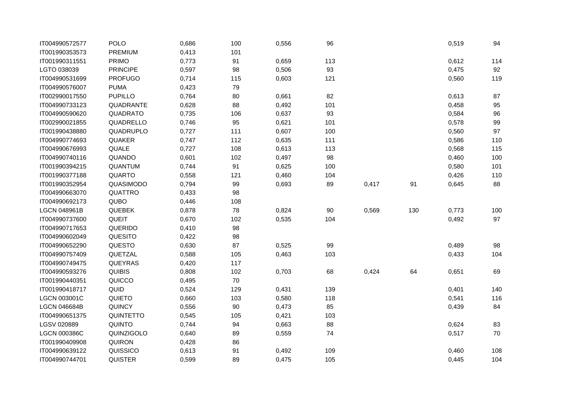| IT004990572577      | POLO            | 0,686 | 100 | 0,556 | 96  |       |     | 0,519 | 94  |
|---------------------|-----------------|-------|-----|-------|-----|-------|-----|-------|-----|
| IT001990353573      | PREMIUM         | 0,413 | 101 |       |     |       |     |       |     |
| IT001990311551      | <b>PRIMO</b>    | 0,773 | 91  | 0,659 | 113 |       |     | 0,612 | 114 |
| LGTO 038039         | <b>PRINCIPE</b> | 0,597 | 98  | 0,506 | 93  |       |     | 0,475 | 92  |
| IT004990531699      | <b>PROFUGO</b>  | 0,714 | 115 | 0,603 | 121 |       |     | 0,560 | 119 |
| IT004990576007      | <b>PUMA</b>     | 0,423 | 79  |       |     |       |     |       |     |
| IT002990017550      | <b>PUPILLO</b>  | 0,764 | 80  | 0,661 | 82  |       |     | 0,613 | 87  |
| IT004990733123      | QUADRANTE       | 0,628 | 88  | 0,492 | 101 |       |     | 0,458 | 95  |
| IT004990590620      | QUADRATO        | 0,735 | 106 | 0,637 | 93  |       |     | 0,584 | 96  |
| IT002990021855      | QUADRELLO       | 0,746 | 95  | 0,621 | 101 |       |     | 0,578 | 99  |
| IT001990438880      | QUADRUPLO       | 0,727 | 111 | 0,607 | 100 |       |     | 0,560 | 97  |
| IT004990774693      | QUAKER          | 0,747 | 112 | 0,635 | 111 |       |     | 0,586 | 110 |
| IT004990676993      | QUALE           | 0,727 | 108 | 0,613 | 113 |       |     | 0,568 | 115 |
| IT004990740116      | QUANDO          | 0,601 | 102 | 0,497 | 98  |       |     | 0,460 | 100 |
| IT001990394215      | QUANTUM         | 0,744 | 91  | 0,625 | 100 |       |     | 0,580 | 101 |
| IT001990377188      | <b>QUARTO</b>   | 0,558 | 121 | 0,460 | 104 |       |     | 0,426 | 110 |
| IT001990352954      | QUASIMODO       | 0,794 | 99  | 0,693 | 89  | 0,417 | 91  | 0,645 | 88  |
| IT004990663070      | QUATTRO         | 0,433 | 98  |       |     |       |     |       |     |
| IT004990692173      | QUBO            | 0,446 | 108 |       |     |       |     |       |     |
| <b>LGCN 048961B</b> | <b>QUEBEK</b>   | 0,878 | 78  | 0,824 | 90  | 0,569 | 130 | 0,773 | 100 |
| IT004990737600      | QUEIT           | 0,670 | 102 | 0,535 | 104 |       |     | 0,492 | 97  |
| IT004990717653      | QUERIDO         | 0,410 | 98  |       |     |       |     |       |     |
| IT004990602049      | QUESITO         | 0,422 | 98  |       |     |       |     |       |     |
| IT004990652290      | QUESTO          | 0,630 | 87  | 0,525 | 99  |       |     | 0,489 | 98  |
| IT004990757409      | QUETZAL         | 0,588 | 105 | 0,463 | 103 |       |     | 0,433 | 104 |
| IT004990749475      | <b>QUEYRAS</b>  | 0,420 | 117 |       |     |       |     |       |     |
| IT004990593276      | <b>QUIBIS</b>   | 0,808 | 102 | 0,703 | 68  | 0,424 | 64  | 0,651 | 69  |
| IT001990440351      | QUICCO          | 0,495 | 70  |       |     |       |     |       |     |
| IT001990418717      | QUID            | 0,524 | 129 | 0,431 | 139 |       |     | 0,401 | 140 |
| <b>LGCN 003001C</b> | QUIETO          | 0,660 | 103 | 0,580 | 118 |       |     | 0,541 | 116 |
| <b>LGCN 046684B</b> | QUINCY          | 0,556 | 90  | 0,473 | 85  |       |     | 0,439 | 84  |
| IT004990651375      | QUINTETTO       | 0,545 | 105 | 0,421 | 103 |       |     |       |     |
| LGSV 020889         | QUINTO          | 0,744 | 94  | 0,663 | 88  |       |     | 0,624 | 83  |
| <b>LGCN 000386C</b> | QUINZIGOLO      | 0,640 | 89  | 0,559 | 74  |       |     | 0,517 | 70  |
| IT001990409908      | QUIRON          | 0,428 | 86  |       |     |       |     |       |     |
| IT004990639122      | QUISSICO        | 0,613 | 91  | 0,492 | 109 |       |     | 0,460 | 108 |
| IT004990744701      | <b>QUISTER</b>  | 0,599 | 89  | 0,475 | 105 |       |     | 0,445 | 104 |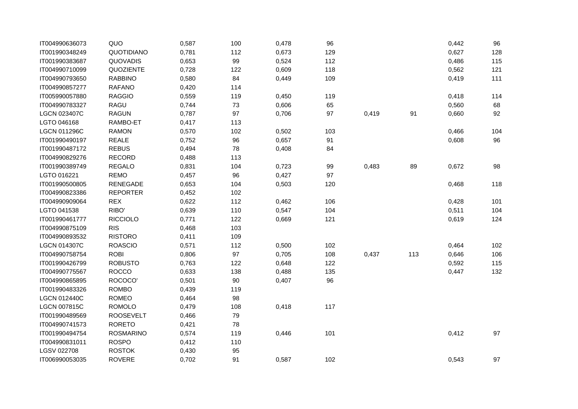| IT004990636073      | QUO              | 0,587 | 100 | 0,478 | 96  |       |     | 0,442 | 96  |
|---------------------|------------------|-------|-----|-------|-----|-------|-----|-------|-----|
| IT001990348249      | QUOTIDIANO       | 0,781 | 112 | 0,673 | 129 |       |     | 0,627 | 128 |
| IT001990383687      | QUOVADIS         | 0,653 | 99  | 0,524 | 112 |       |     | 0,486 | 115 |
| IT004990710099      | QUOZIENTE        | 0,728 | 122 | 0,609 | 118 |       |     | 0,562 | 121 |
| IT004990793650      | <b>RABBINO</b>   | 0,580 | 84  | 0,449 | 109 |       |     | 0,419 | 111 |
| IT004990857277      | <b>RAFANO</b>    | 0,420 | 114 |       |     |       |     |       |     |
| IT005990057880      | <b>RAGGIO</b>    | 0,559 | 119 | 0,450 | 119 |       |     | 0,418 | 114 |
| IT004990783327      | RAGU             | 0,744 | 73  | 0,606 | 65  |       |     | 0,560 | 68  |
| <b>LGCN 023407C</b> | <b>RAGUN</b>     | 0,787 | 97  | 0,706 | 97  | 0,419 | 91  | 0,660 | 92  |
| LGTO 046168         | RAMBO-ET         | 0,417 | 113 |       |     |       |     |       |     |
| <b>LGCN 011296C</b> | <b>RAMON</b>     | 0,570 | 102 | 0,502 | 103 |       |     | 0,466 | 104 |
| IT001990490197      | <b>REALE</b>     | 0,752 | 96  | 0,657 | 91  |       |     | 0,608 | 96  |
| IT001990487172      | <b>REBUS</b>     | 0,494 | 78  | 0,408 | 84  |       |     |       |     |
| IT004990829276      | <b>RECORD</b>    | 0,488 | 113 |       |     |       |     |       |     |
| IT001990389749      | <b>REGALO</b>    | 0,831 | 104 | 0,723 | 99  | 0,483 | 89  | 0,672 | 98  |
| LGTO 016221         | <b>REMO</b>      | 0,457 | 96  | 0,427 | 97  |       |     |       |     |
| IT001990500805      | <b>RENEGADE</b>  | 0,653 | 104 | 0,503 | 120 |       |     | 0,468 | 118 |
| IT004990823386      | <b>REPORTER</b>  | 0,452 | 102 |       |     |       |     |       |     |
| IT004990909064      | <b>REX</b>       | 0,622 | 112 | 0,462 | 106 |       |     | 0,428 | 101 |
| LGTO 041538         | RIBO'            | 0,639 | 110 | 0,547 | 104 |       |     | 0,511 | 104 |
| IT001990461777      | <b>RICCIOLO</b>  | 0,771 | 122 | 0,669 | 121 |       |     | 0,619 | 124 |
| IT004990875109      | <b>RIS</b>       | 0,468 | 103 |       |     |       |     |       |     |
| IT004990893532      | <b>RISTORO</b>   | 0,411 | 109 |       |     |       |     |       |     |
| LGCN 014307C        | <b>ROASCIO</b>   | 0,571 | 112 | 0,500 | 102 |       |     | 0,464 | 102 |
| IT004990758754      | <b>ROBI</b>      | 0,806 | 97  | 0,705 | 108 | 0,437 | 113 | 0,646 | 106 |
| IT001990426799      | <b>ROBUSTO</b>   | 0,763 | 122 | 0,648 | 122 |       |     | 0,592 | 115 |
| IT004990775567      | <b>ROCCO</b>     | 0,633 | 138 | 0,488 | 135 |       |     | 0,447 | 132 |
| IT004990865895      | ROCOCO'          | 0,501 | 90  | 0,407 | 96  |       |     |       |     |
| IT001990483326      | <b>ROMBO</b>     | 0,439 | 119 |       |     |       |     |       |     |
| <b>LGCN 012440C</b> | <b>ROMEO</b>     | 0,464 | 98  |       |     |       |     |       |     |
| <b>LGCN 007815C</b> | <b>ROMOLO</b>    | 0,479 | 108 | 0,418 | 117 |       |     |       |     |
| IT001990489569      | <b>ROOSEVELT</b> | 0,466 | 79  |       |     |       |     |       |     |
| IT004990741573      | <b>RORETO</b>    | 0,421 | 78  |       |     |       |     |       |     |
| IT001990494754      | <b>ROSMARINO</b> | 0,574 | 119 | 0,446 | 101 |       |     | 0,412 | 97  |
| IT004990831011      | <b>ROSPO</b>     | 0,412 | 110 |       |     |       |     |       |     |
| LGSV 022708         | <b>ROSTOK</b>    | 0,430 | 95  |       |     |       |     |       |     |
| IT006990053035      | <b>ROVERE</b>    | 0,702 | 91  | 0,587 | 102 |       |     | 0,543 | 97  |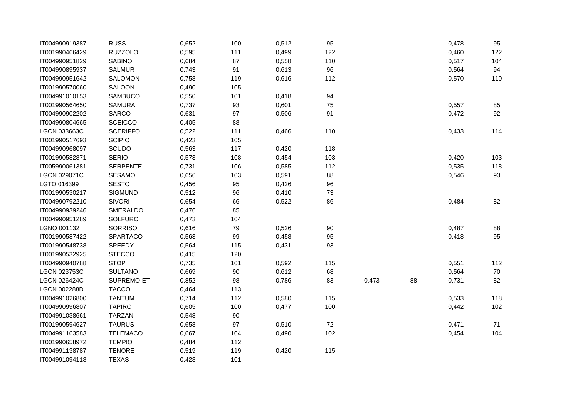| IT004990919387      | <b>RUSS</b>     | 0,652 | 100    | 0,512 | 95  |       |    | 0,478 | 95  |
|---------------------|-----------------|-------|--------|-------|-----|-------|----|-------|-----|
| IT001990466429      | <b>RUZZOLO</b>  | 0,595 | 111    | 0,499 | 122 |       |    | 0,460 | 122 |
| IT004990951829      | <b>SABINO</b>   | 0,684 | 87     | 0,558 | 110 |       |    | 0,517 | 104 |
| IT004990895937      | <b>SALMUR</b>   | 0,743 | 91     | 0,613 | 96  |       |    | 0,564 | 94  |
| IT004990951642      | SALOMON         | 0,758 | 119    | 0,616 | 112 |       |    | 0,570 | 110 |
| IT001990570060      | SALOON          | 0,490 | 105    |       |     |       |    |       |     |
| IT004991010153      | <b>SAMBUCO</b>  | 0,550 | 101    | 0,418 | 94  |       |    |       |     |
| IT001990564650      | <b>SAMURAI</b>  | 0,737 | 93     | 0,601 | 75  |       |    | 0,557 | 85  |
| IT004990902202      | <b>SARCO</b>    | 0,631 | 97     | 0,506 | 91  |       |    | 0,472 | 92  |
| IT004990804665      | <b>SCEICCO</b>  | 0,405 | 88     |       |     |       |    |       |     |
| LGCN 033663C        | <b>SCERIFFO</b> | 0,522 | 111    | 0,466 | 110 |       |    | 0,433 | 114 |
| IT001990517693      | <b>SCIPIO</b>   | 0,423 | 105    |       |     |       |    |       |     |
| IT004990968097      | <b>SCUDO</b>    | 0,563 | 117    | 0,420 | 118 |       |    |       |     |
| IT001990582871      | <b>SERIO</b>    | 0,573 | 108    | 0,454 | 103 |       |    | 0,420 | 103 |
| IT005990061381      | <b>SERPENTE</b> | 0,731 | 106    | 0,585 | 112 |       |    | 0,535 | 118 |
| LGCN 029071C        | <b>SESAMO</b>   | 0,656 | 103    | 0,591 | 88  |       |    | 0,546 | 93  |
| LGTO 016399         | <b>SESTO</b>    | 0,456 | 95     | 0,426 | 96  |       |    |       |     |
| IT001990530217      | <b>SIGMUND</b>  | 0,512 | 96     | 0,410 | 73  |       |    |       |     |
| IT004990792210      | <b>SIVORI</b>   | 0,654 | 66     | 0,522 | 86  |       |    | 0,484 | 82  |
| IT004990939246      | SMERALDO        | 0,476 | 85     |       |     |       |    |       |     |
| IT004990951289      | <b>SOLFURO</b>  | 0,473 | 104    |       |     |       |    |       |     |
| LGNO 001132         | <b>SORRISO</b>  | 0,616 | 79     | 0,526 | 90  |       |    | 0,487 | 88  |
| IT001990587422      | SPARTACO        | 0,563 | 99     | 0,458 | 95  |       |    | 0,418 | 95  |
| IT001990548738      | SPEEDY          | 0,564 | 115    | 0,431 | 93  |       |    |       |     |
| IT001990532925      | <b>STECCO</b>   | 0,415 | 120    |       |     |       |    |       |     |
| IT004990940788      | <b>STOP</b>     | 0,735 | 101    | 0,592 | 115 |       |    | 0,551 | 112 |
| <b>LGCN 023753C</b> | <b>SULTANO</b>  | 0,669 | $90\,$ | 0,612 | 68  |       |    | 0,564 | 70  |
| <b>LGCN 026424C</b> | SUPREMO-ET      | 0,852 | 98     | 0,786 | 83  | 0,473 | 88 | 0,731 | 82  |
| <b>LGCN 002288D</b> | <b>TACCO</b>    | 0,464 | 113    |       |     |       |    |       |     |
| IT004991026800      | <b>TANTUM</b>   | 0,714 | 112    | 0,580 | 115 |       |    | 0,533 | 118 |
| IT004990996807      | <b>TAPIRO</b>   | 0,605 | 100    | 0,477 | 100 |       |    | 0,442 | 102 |
| IT004991038661      | <b>TARZAN</b>   | 0,548 | $90\,$ |       |     |       |    |       |     |
| IT001990594627      | <b>TAURUS</b>   | 0,658 | 97     | 0,510 | 72  |       |    | 0,471 | 71  |
| IT004991163583      | <b>TELEMACO</b> | 0,667 | 104    | 0,490 | 102 |       |    | 0,454 | 104 |
| IT001990658972      | <b>TEMPIO</b>   | 0,484 | 112    |       |     |       |    |       |     |
| IT004991138787      | <b>TENORE</b>   | 0,519 | 119    | 0,420 | 115 |       |    |       |     |
| IT004991094118      | <b>TEXAS</b>    | 0,428 | 101    |       |     |       |    |       |     |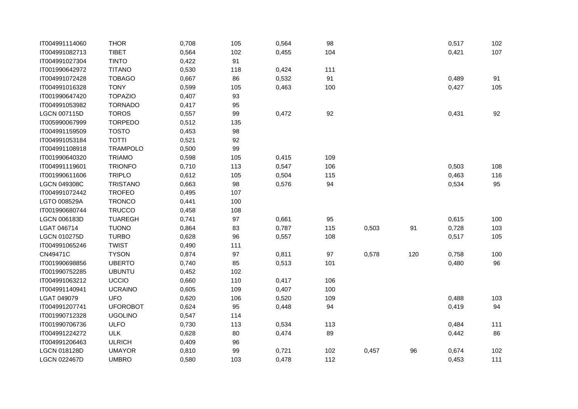| IT004991114060      | <b>THOR</b>     | 0,708 | 105 | 0,564 | 98  |       |        | 0,517 | 102 |
|---------------------|-----------------|-------|-----|-------|-----|-------|--------|-------|-----|
| IT004991082713      | <b>TIBET</b>    | 0,564 | 102 | 0,455 | 104 |       |        | 0,421 | 107 |
| IT004991027304      | <b>TINTO</b>    | 0,422 | 91  |       |     |       |        |       |     |
| IT001990642972      | <b>TITANO</b>   | 0,530 | 118 | 0,424 | 111 |       |        |       |     |
| IT004991072428      | <b>TOBAGO</b>   | 0,667 | 86  | 0,532 | 91  |       |        | 0,489 | 91  |
| IT004991016328      | <b>TONY</b>     | 0,599 | 105 | 0,463 | 100 |       |        | 0,427 | 105 |
| IT001990647420      | <b>TOPAZIO</b>  | 0,407 | 93  |       |     |       |        |       |     |
| IT004991053982      | <b>TORNADO</b>  | 0,417 | 95  |       |     |       |        |       |     |
| <b>LGCN 007115D</b> | <b>TOROS</b>    | 0,557 | 99  | 0,472 | 92  |       |        | 0,431 | 92  |
| IT005990067999      | <b>TORPEDO</b>  | 0,512 | 135 |       |     |       |        |       |     |
| IT004991159509      | <b>TOSTO</b>    | 0,453 | 98  |       |     |       |        |       |     |
| IT004991053184      | <b>TOTTI</b>    | 0,521 | 92  |       |     |       |        |       |     |
| IT004991108918      | <b>TRAMPOLO</b> | 0,500 | 99  |       |     |       |        |       |     |
| IT001990640320      | <b>TRIAMO</b>   | 0,598 | 105 | 0,415 | 109 |       |        |       |     |
| IT004991119601      | <b>TRIONFO</b>  | 0,710 | 113 | 0,547 | 106 |       |        | 0,503 | 108 |
| IT001990611606      | <b>TRIPLO</b>   | 0,612 | 105 | 0,504 | 115 |       |        | 0,463 | 116 |
| <b>LGCN 049308C</b> | <b>TRISTANO</b> | 0,663 | 98  | 0,576 | 94  |       |        | 0,534 | 95  |
| IT004991072442      | <b>TROFEO</b>   | 0,495 | 107 |       |     |       |        |       |     |
| LGTO 008529A        | <b>TRONCO</b>   | 0,441 | 100 |       |     |       |        |       |     |
| IT001990680744      | <b>TRUCCO</b>   | 0,458 | 108 |       |     |       |        |       |     |
| <b>LGCN 006183D</b> | <b>TUAREGH</b>  | 0,741 | 97  | 0,661 | 95  |       |        | 0,615 | 100 |
| LGAT 046714         | <b>TUONO</b>    | 0,864 | 83  | 0,787 | 115 | 0,503 | $91\,$ | 0,728 | 103 |
| <b>LGCN 010275D</b> | <b>TURBO</b>    | 0,628 | 96  | 0,557 | 108 |       |        | 0,517 | 105 |
| IT004991065246      | <b>TWIST</b>    | 0,490 | 111 |       |     |       |        |       |     |
| CN49471C            | <b>TYSON</b>    | 0,874 | 97  | 0,811 | 97  | 0,578 | 120    | 0,758 | 100 |
| IT001990698856      | <b>UBERTO</b>   | 0,740 | 85  | 0,513 | 101 |       |        | 0,480 | 96  |
| IT001990752285      | <b>UBUNTU</b>   | 0,452 | 102 |       |     |       |        |       |     |
| IT004991063212      | UCCIO           | 0,660 | 110 | 0,417 | 106 |       |        |       |     |
| IT004991140941      | <b>UCRAINO</b>  | 0,605 | 109 | 0,407 | 100 |       |        |       |     |
| LGAT 049079         | <b>UFO</b>      | 0,620 | 106 | 0,520 | 109 |       |        | 0,488 | 103 |
| IT004991207741      | <b>UFOROBOT</b> | 0,624 | 95  | 0,448 | 94  |       |        | 0,419 | 94  |
| IT001990712328      | <b>UGOLINO</b>  | 0,547 | 114 |       |     |       |        |       |     |
| IT001990706736      | <b>ULFO</b>     | 0,730 | 113 | 0,534 | 113 |       |        | 0,484 | 111 |
| IT004991224272      | <b>ULK</b>      | 0,628 | 80  | 0,474 | 89  |       |        | 0,442 | 86  |
| IT004991206463      | <b>ULRICH</b>   | 0,409 | 96  |       |     |       |        |       |     |
| LGCN 018128D        | <b>UMAYOR</b>   | 0,810 | 99  | 0,721 | 102 | 0,457 | 96     | 0,674 | 102 |
| <b>LGCN 022467D</b> | <b>UMBRO</b>    | 0,580 | 103 | 0,478 | 112 |       |        | 0,453 | 111 |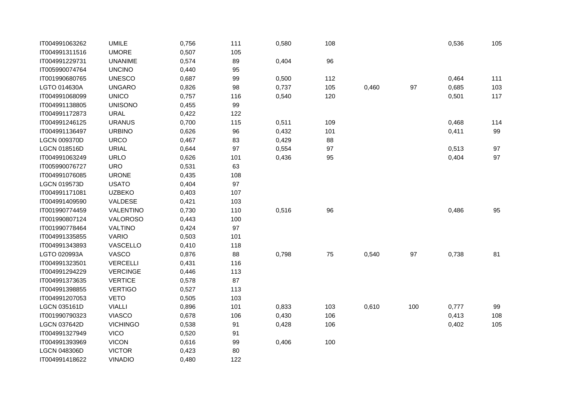| IT004991063262      | <b>UMILE</b>    | 0,756 | 111 | 0,580 | 108 |       |     | 0,536 | 105 |
|---------------------|-----------------|-------|-----|-------|-----|-------|-----|-------|-----|
| IT004991311516      | <b>UMORE</b>    | 0,507 | 105 |       |     |       |     |       |     |
| IT004991229731      | <b>UNANIME</b>  | 0,574 | 89  | 0,404 | 96  |       |     |       |     |
| IT005990074764      | <b>UNCINO</b>   | 0,440 | 95  |       |     |       |     |       |     |
| IT001990680765      | <b>UNESCO</b>   | 0,687 | 99  | 0,500 | 112 |       |     | 0,464 | 111 |
| LGTO 014630A        | <b>UNGARO</b>   | 0,826 | 98  | 0,737 | 105 | 0,460 | 97  | 0,685 | 103 |
| IT004991068099      | <b>UNICO</b>    | 0,757 | 116 | 0,540 | 120 |       |     | 0,501 | 117 |
| IT004991138805      | <b>UNISONO</b>  | 0,455 | 99  |       |     |       |     |       |     |
| IT004991172873      | <b>URAL</b>     | 0,422 | 122 |       |     |       |     |       |     |
| IT004991246125      | <b>URANUS</b>   | 0,700 | 115 | 0,511 | 109 |       |     | 0,468 | 114 |
| IT004991136497      | <b>URBINO</b>   | 0,626 | 96  | 0,432 | 101 |       |     | 0,411 | 99  |
| <b>LGCN 009370D</b> | <b>URCO</b>     | 0,467 | 83  | 0,429 | 88  |       |     |       |     |
| <b>LGCN 018516D</b> | <b>URIAL</b>    | 0,644 | 97  | 0,554 | 97  |       |     | 0,513 | 97  |
| IT004991063249      | <b>URLO</b>     | 0,626 | 101 | 0,436 | 95  |       |     | 0,404 | 97  |
| IT005990076727      | <b>URO</b>      | 0,531 | 63  |       |     |       |     |       |     |
| IT004991076085      | <b>URONE</b>    | 0,435 | 108 |       |     |       |     |       |     |
| <b>LGCN 019573D</b> | <b>USATO</b>    | 0,404 | 97  |       |     |       |     |       |     |
| IT004991171081      | <b>UZBEKO</b>   | 0,403 | 107 |       |     |       |     |       |     |
| IT004991409590      | VALDESE         | 0,421 | 103 |       |     |       |     |       |     |
| IT001990774459      | VALENTINO       | 0,730 | 110 | 0,516 | 96  |       |     | 0,486 | 95  |
| IT001990807124      | VALOROSO        | 0,443 | 100 |       |     |       |     |       |     |
| IT001990778464      | <b>VALTINO</b>  | 0,424 | 97  |       |     |       |     |       |     |
| IT004991335855      | <b>VARIO</b>    | 0,503 | 101 |       |     |       |     |       |     |
| IT004991343893      | VASCELLO        | 0,410 | 118 |       |     |       |     |       |     |
| LGTO 020993A        | VASCO           | 0,876 | 88  | 0,798 | 75  | 0,540 | 97  | 0,738 | 81  |
| IT004991323501      | <b>VERCELLI</b> | 0,431 | 116 |       |     |       |     |       |     |
| IT004991294229      | <b>VERCINGE</b> | 0,446 | 113 |       |     |       |     |       |     |
| IT004991373635      | <b>VERTICE</b>  | 0,578 | 87  |       |     |       |     |       |     |
| IT004991398855      | <b>VERTIGO</b>  | 0,527 | 113 |       |     |       |     |       |     |
| IT004991207053      | <b>VETO</b>     | 0,505 | 103 |       |     |       |     |       |     |
| <b>LGCN 035161D</b> | <b>VIALLI</b>   | 0,896 | 101 | 0,833 | 103 | 0,610 | 100 | 0,777 | 99  |
| IT001990790323      | <b>VIASCO</b>   | 0,678 | 106 | 0,430 | 106 |       |     | 0,413 | 108 |
| <b>LGCN 037642D</b> | <b>VICHINGO</b> | 0,538 | 91  | 0,428 | 106 |       |     | 0,402 | 105 |
| IT004991327949      | <b>VICO</b>     | 0,520 | 91  |       |     |       |     |       |     |
| IT004991393969      | <b>VICON</b>    | 0,616 | 99  | 0,406 | 100 |       |     |       |     |
| <b>LGCN 048306D</b> | <b>VICTOR</b>   | 0,423 | 80  |       |     |       |     |       |     |
| IT004991418622      | <b>VINADIO</b>  | 0,480 | 122 |       |     |       |     |       |     |